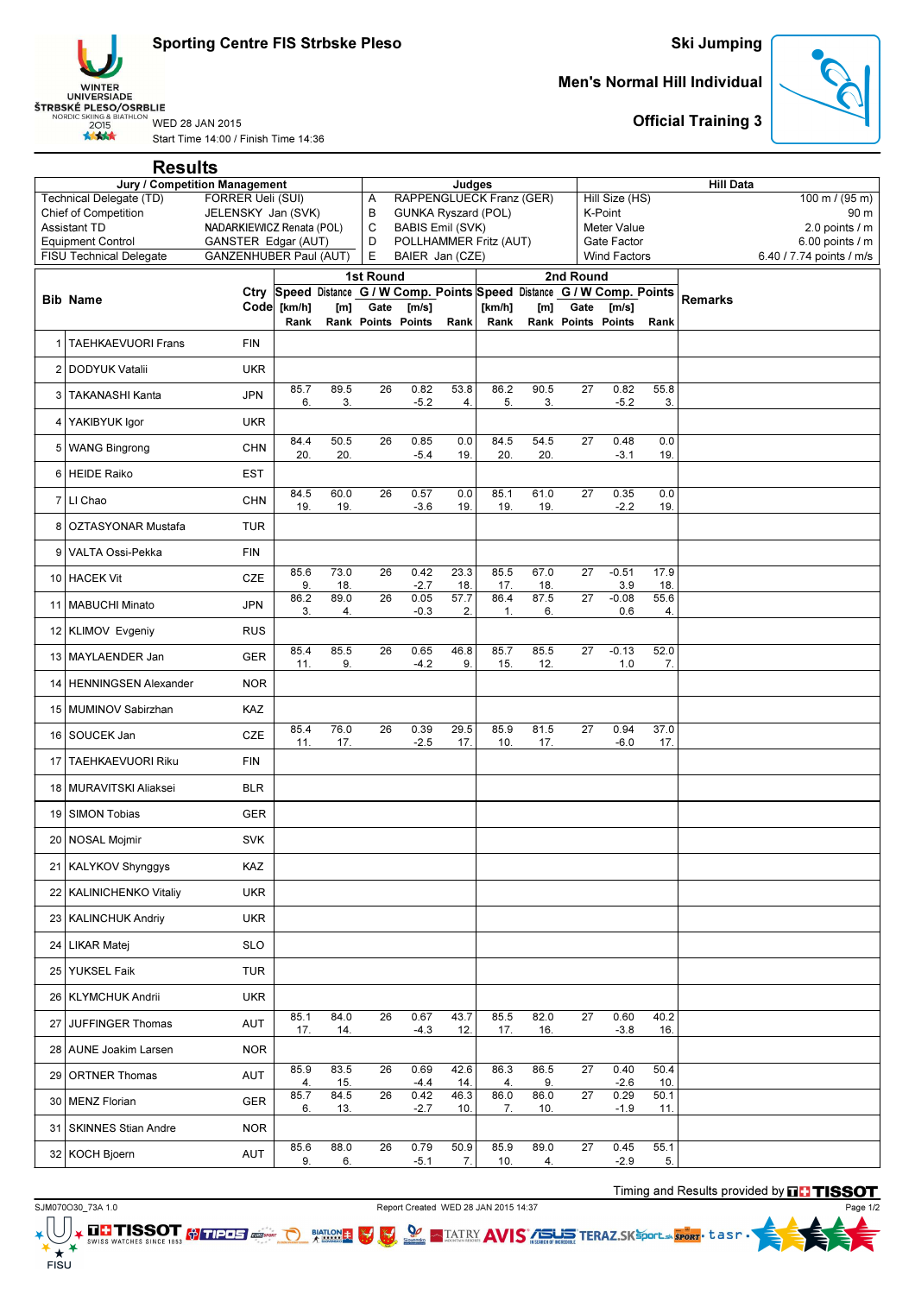Sporting Centre FIS Strbske Pleso



## Start Time 14:00 / Finish Time 14:36

## Ski Jumping

## Men's Normal Hill Individual



Official Training 3

|                                                                                      | <b>Results</b>                 |                               |             |             |                                                           |                           |             |                                                                          |             |                                    |                     |             |                |                          |  |
|--------------------------------------------------------------------------------------|--------------------------------|-------------------------------|-------------|-------------|-----------------------------------------------------------|---------------------------|-------------|--------------------------------------------------------------------------|-------------|------------------------------------|---------------------|-------------|----------------|--------------------------|--|
| <b>Jury / Competition Management</b><br>Technical Delegate (TD)<br>FORRER Ueli (SUI) |                                |                               |             |             |                                                           | Judges                    |             |                                                                          |             | <b>Hill Data</b><br>Hill Size (HS) |                     |             |                |                          |  |
|                                                                                      | Chief of Competition           | JELENSKY Jan (SVK)            |             |             | RAPPENGLUECK Franz (GER)<br>Α<br>B<br>GUNKA Ryszard (POL) |                           |             |                                                                          |             |                                    | K-Point             |             |                | 100 m / $(95 m)$<br>90 m |  |
| <b>Assistant TD</b>                                                                  |                                | NADARKIEWICZ Renata (POL)     |             |             | С<br><b>BABIS Emil (SVK)</b>                              |                           |             |                                                                          |             |                                    | <b>Meter Value</b>  |             |                | 2.0 points / m           |  |
|                                                                                      | <b>Equipment Control</b>       | GANSTER Edgar (AUT)           |             |             | D                                                         |                           |             | POLLHAMMER Fritz (AUT)                                                   |             |                                    | Gate Factor         |             |                | 6.00 points / m          |  |
|                                                                                      | <b>FISU Technical Delegate</b> | <b>GANZENHUBER Paul (AUT)</b> |             |             | E<br>1st Round                                            | BAIER Jan (CZE)           |             |                                                                          |             | 2nd Round                          | <b>Wind Factors</b> |             |                | 6.40 / 7.74 points / m/s |  |
|                                                                                      |                                |                               |             |             |                                                           |                           |             | Ctry Speed Distance G / W Comp. Points Speed Distance G / W Comp. Points |             |                                    |                     |             |                |                          |  |
|                                                                                      | <b>Bib Name</b>                |                               | Code [km/h] | [m]         | Gate                                                      | [m/s]                     |             | [km/h]                                                                   | [m]         | Gate                               | [m/s]               |             | <b>Remarks</b> |                          |  |
|                                                                                      |                                |                               | Rank        |             |                                                           | <b>Rank Points Points</b> | Rank        | Rank                                                                     |             | <b>Rank Points Points</b>          |                     | Rank        |                |                          |  |
| 1                                                                                    | <b>TAEHKAEVUORI Frans</b>      | <b>FIN</b>                    |             |             |                                                           |                           |             |                                                                          |             |                                    |                     |             |                |                          |  |
|                                                                                      | 2 DODYUK Vatalii               | <b>UKR</b>                    |             |             |                                                           |                           |             |                                                                          |             |                                    |                     |             |                |                          |  |
|                                                                                      | 3 TAKANASHI Kanta              | JPN                           | 85.7<br>6.  | 89.5<br>3.  | 26                                                        | 0.82<br>$-5.2$            | 53.8<br>4.  | 86.2<br>5.                                                               | 90.5<br>3.  | $\overline{27}$                    | 0.82<br>$-5.2$      | 55.8<br>3.  |                |                          |  |
|                                                                                      | 4 YAKIBYUK Igor                | <b>UKR</b>                    |             |             |                                                           |                           |             |                                                                          |             |                                    |                     |             |                |                          |  |
|                                                                                      | 5   WANG Bingrong              | <b>CHN</b>                    | 84.4<br>20. | 50.5<br>20. | 26                                                        | 0.85<br>$-5.4$            | 0.0<br>19.  | 84.5<br>20.                                                              | 54.5<br>20. | 27                                 | 0.48<br>$-3.1$      | 0.0<br>19.  |                |                          |  |
|                                                                                      | 6 HEIDE Raiko                  | <b>EST</b>                    |             |             |                                                           |                           |             |                                                                          |             |                                    |                     |             |                |                          |  |
|                                                                                      | 7 LI Chao                      | CHN                           | 84.5<br>19  | 60.0<br>19. | 26                                                        | 0.57<br>$-3.6$            | 0.0<br>19.  | 85.1<br>19.                                                              | 61.0<br>19. | 27                                 | 0.35<br>$-2.2$      | 0.0<br>19.  |                |                          |  |
| 8                                                                                    | <b>OZTASYONAR Mustafa</b>      | <b>TUR</b>                    |             |             |                                                           |                           |             |                                                                          |             |                                    |                     |             |                |                          |  |
| 9                                                                                    | VALTA Ossi-Pekka               | <b>FIN</b>                    |             |             |                                                           |                           |             |                                                                          |             |                                    |                     |             |                |                          |  |
|                                                                                      | 10 HACEK Vit                   | CZE                           | 85.6<br>9.  | 73.0<br>18. | 26                                                        | 0.42<br>$-2.7$            | 23.3<br>18. | 85.5<br>17.                                                              | 67.0<br>18. | 27                                 | $-0.51$<br>3.9      | 17.9<br>18. |                |                          |  |
|                                                                                      | 11   MABUCHI Minato            | <b>JPN</b>                    | 86.2<br>3.  | 89.0<br>4.  | $\overline{26}$                                           | 0.05<br>$-0.3$            | 57.7<br>2.  | 86.4<br>1.                                                               | 87.5<br>6.  | $\overline{27}$                    | $-0.08$<br>0.6      | 55.6<br>4.  |                |                          |  |
|                                                                                      | 12 KLIMOV Evgeniy              | <b>RUS</b>                    |             |             |                                                           |                           |             |                                                                          |             |                                    |                     |             |                |                          |  |
|                                                                                      | 13 MAYLAENDER Jan              | <b>GER</b>                    | 85.4<br>11. | 85.5<br>9.  | 26                                                        | 0.65<br>$-4.2$            | 46.8<br>9.  | 85.7<br>15.                                                              | 85.5<br>12. | $\overline{27}$                    | $-0.13$<br>1.0      | 52.0<br>7.  |                |                          |  |
| 14                                                                                   | HENNINGSEN Alexander           | <b>NOR</b>                    |             |             |                                                           |                           |             |                                                                          |             |                                    |                     |             |                |                          |  |
|                                                                                      | 15 MUMINOV Sabirzhan           | KAZ                           |             |             |                                                           |                           |             |                                                                          |             |                                    |                     |             |                |                          |  |
|                                                                                      | 16 SOUCEK Jan                  | CZE                           | 85.4<br>11. | 76.0<br>17. | $\overline{26}$                                           | 0.39<br>$-2.5$            | 29.5<br>17. | 85.9<br>10.                                                              | 81.5<br>17. | $\overline{27}$                    | 0.94<br>$-6.0$      | 37.0<br>17. |                |                          |  |
| 17                                                                                   | <b>TAEHKAEVUORI Riku</b>       | <b>FIN</b>                    |             |             |                                                           |                           |             |                                                                          |             |                                    |                     |             |                |                          |  |
|                                                                                      | 18 MURAVITSKI Aliaksei         | <b>BLR</b>                    |             |             |                                                           |                           |             |                                                                          |             |                                    |                     |             |                |                          |  |
| 19                                                                                   | <b>SIMON Tobias</b>            | <b>GER</b>                    |             |             |                                                           |                           |             |                                                                          |             |                                    |                     |             |                |                          |  |
|                                                                                      | 20 NOSAL Mojmir                | <b>SVK</b>                    |             |             |                                                           |                           |             |                                                                          |             |                                    |                     |             |                |                          |  |
| 21                                                                                   | <b>KALYKOV Shynggys</b>        | KAZ                           |             |             |                                                           |                           |             |                                                                          |             |                                    |                     |             |                |                          |  |
|                                                                                      | 22 KALINICHENKO Vitaliy        | <b>UKR</b>                    |             |             |                                                           |                           |             |                                                                          |             |                                    |                     |             |                |                          |  |
|                                                                                      | 23   KALINCHUK Andriy          | <b>UKR</b>                    |             |             |                                                           |                           |             |                                                                          |             |                                    |                     |             |                |                          |  |
|                                                                                      | 24 LIKAR Matej                 | <b>SLO</b>                    |             |             |                                                           |                           |             |                                                                          |             |                                    |                     |             |                |                          |  |
|                                                                                      | 25 YUKSEL Faik                 | <b>TUR</b>                    |             |             |                                                           |                           |             |                                                                          |             |                                    |                     |             |                |                          |  |
|                                                                                      | 26   KLYMCHUK Andrii           | <b>UKR</b>                    |             |             |                                                           |                           |             |                                                                          |             |                                    |                     |             |                |                          |  |
| 27                                                                                   | JUFFINGER Thomas               | AUT                           | 85.1<br>17. | 84.0<br>14. | $\overline{26}$                                           | 0.67<br>$-4.3$            | 43.7<br>12. | 85.5<br>17.                                                              | 82.0<br>16. | $\overline{27}$                    | 0.60<br>$-3.8$      | 40.2<br>16. |                |                          |  |
|                                                                                      | 28   AUNE Joakim Larsen        | <b>NOR</b>                    |             |             |                                                           |                           |             |                                                                          |             |                                    |                     |             |                |                          |  |
|                                                                                      | 29 ORTNER Thomas               | AUT                           | 85.9<br>4.  | 83.5<br>15. | 26                                                        | 0.69<br>$-4.4$            | 42.6<br>14. | 86.3<br>4.                                                               | 86.5<br>9.  | 27                                 | 0.40<br>$-2.6$      | 50.4<br>10. |                |                          |  |
|                                                                                      | 30 MENZ Florian                | GER                           | 85.7<br>6.  | 84.5<br>13. | 26                                                        | 0.42<br>$-2.7$            | 46.3<br>10. | 86.0<br>7.                                                               | 86.0<br>10. | 27                                 | 0.29<br>$-1.9$      | 50.1<br>11. |                |                          |  |
|                                                                                      | 31   SKINNES Stian Andre       | <b>NOR</b>                    |             |             |                                                           |                           |             |                                                                          |             |                                    |                     |             |                |                          |  |
|                                                                                      | 32 KOCH Bjoern                 | AUT                           | 85.6<br>9.  | 88.0<br>6.  | $\overline{26}$                                           | 0.79<br>$-5.1$            | 50.9<br>7.  | 85.9<br>10.                                                              | 89.0<br>4.  | $\overline{27}$                    | 0.45<br>$-2.9$      | 55.1<br>5.  |                |                          |  |

Timing and Results provided by **FITISSOT** Page 1/2

 $\begin{array}{c} \star \star \\ \star \star \\ \text{FISU} \end{array}$ 

SJM070O30\_73A 1.0<br>
WED 28 JAN 2015 14:37<br>
WED ATATRY AVIS WATCHES SINCE 1853 COLORED AND TO MATERY AVIS AND THE STREET ISSOCT

 $\frac{\text{B/ATION}}{\text{A}}$ 

 $\overline{\mathbf{M}}$ 

**V TATRY AVIS TERAZ.SKSPORTLE SPORT** tasm